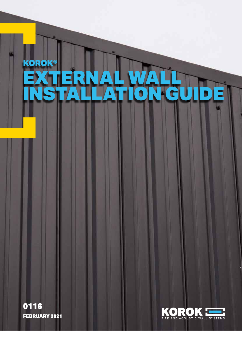# KOROK® TERNAL WALL<br>TALLATION GU INSTALLATION GUIDE

FEBRUARY 2021 0116

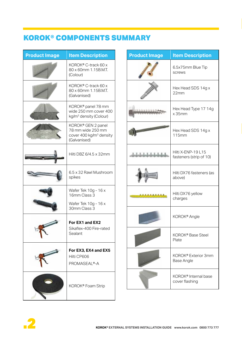# KOROK® COMPONENTS SUMMARY

| <b>Product Image</b> | <b>Item Description</b>                                                                        |  |
|----------------------|------------------------------------------------------------------------------------------------|--|
|                      | KOROK® C-track 60 x<br>80 x 60mm 1.15B.M.T.<br>(Colour)                                        |  |
|                      | KOROK® C-track 60 x<br>80 x 60mm 1.15B.M.T.<br>(Galvanised)                                    |  |
|                      | KOROK® panel 78 mm<br>wide 250 mm cover 400<br>kg/m <sup>3</sup> density (Colour)              |  |
|                      | KOROK® GEN 2 panel<br>78 mm wide 250 mm<br>cover 400 kg/m <sup>3</sup> density<br>(Galvanised) |  |
|                      | Hilti DBZ 6/4.5 x 32mm                                                                         |  |
|                      | 6.5 x 32 Rawl Mushroom<br>spikes                                                               |  |
|                      | Wafer Tek 10g - 16 x<br>16mm Class 3                                                           |  |
|                      | Wafer Tek 10g - 16 x<br>30mm Class 3                                                           |  |
|                      | For EX1 and EX2<br>Sikaflex-400 Fire-rated<br>Sealant                                          |  |
|                      | For EX3, EX4 and EX5<br>Hilti CP606<br>PROMASEAL®-A                                            |  |
|                      | KOROK® Foam Strip                                                                              |  |

| <b>Product Image</b> | <b>Item Description</b>                       |  |
|----------------------|-----------------------------------------------|--|
|                      | 6.5x75mm Blue Tip<br>screws                   |  |
|                      | Hex Head SDS 14g x<br>22mm                    |  |
|                      | Hex Head Type 17 14g<br>$x$ 35 $mm$           |  |
|                      | Hex Head SDS 14g x<br><b>115mm</b>            |  |
|                      | Hilti X-ENP-19 L15<br>fasteners (strip of 10) |  |
|                      | Hilti DX76 fasteners (as<br>above)            |  |
|                      | Hilti DX76 yellow<br>charges                  |  |
|                      | KOROK <sup>®</sup> Angle                      |  |
|                      | KOROK® Base Steel<br>Plate                    |  |
|                      | KOROK® Exterior 3mm<br><b>Base Angle</b>      |  |
|                      | KOROK® Internal base<br>cover flashing        |  |

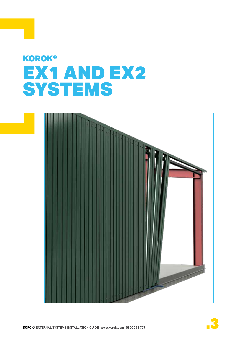# **KOROK®** EX1 AND EX2 **SYSTEMS**



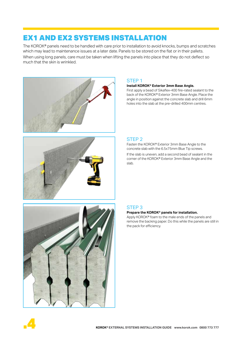The KOROK® panels need to be handled with care prior to installation to avoid knocks, bumps and scratches which may lead to maintenance issues at a later date. Panels to be stored on the flat or in their pallets. When using long panels, care must be taken when lifting the panels into place that they do not deflect so much that the skin is wrinkled.





#### STEP 1

#### **Install KOROK® Exterior 3mm Base Angle.**

First apply a bead of Sikaflex-400 fire-rated sealant to the back of the KOROK® Exterior 3mm Base Angle. Place the angle in position against the concrete slab and drill 6mm holes into the slab at the pre-drilled 400mm centres.

#### STEP 2

Fasten the KOROK® Exterior 3mm Base Angle to the concrete slab with the 6.5x75mm Blue Tip screws.

If the slab is uneven, add a second bead of sealant in the corner of the KOROK® Exterior 3mm Base Angle and the slab.



#### STEP 3

#### **Prepare the KOROK® panels for installation.**

Apply KOROK® foam to the male ends of the panels and remove the backing paper. Do this while the panels are still in the pack for efficiency.

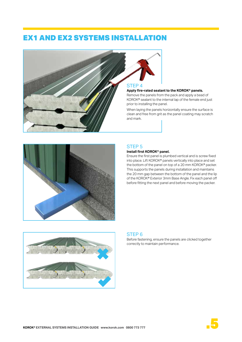

#### **Apply fire-rated sealant to the KOROK® panels.**

Remove the panels from the pack and apply a bead of KOROK® sealant to the internal lap of the female end just prior to installing the panel.

When laying the panels horizontally ensure the surface is clean and free from grit as the panel coating may scratch and mark.



#### STEP 5

#### **Install first KOROK® panel.**

Ensure the first panel is plumbed vertical and is screw fixed into place. Lift KOROK® panels vertically into place and set the bottom of the panel on top of a 20 mm KOROK® packer. This supports the panels during installation and maintains the 20 mm gap between the bottom of the panel and the lip of the KOROK® Exterior 3mm Base Angle. Fix each panel off before fitting the next panel and before moving the packer.



#### STEP 6

Before fastening, ensure the panels are clicked together correctly to maintain performance.

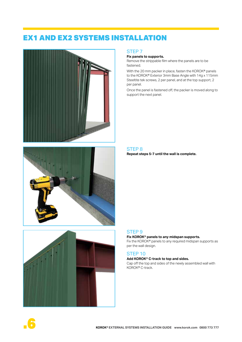





#### STEP 7

#### **Fix panels to supports.**

Remove the strippable film where the panels are to be fastened.

With the 20 mm packer in place, fasten the KOROK® panels to the KOROK® Exterior 3mm Base Angle with 14g x 115mm Steeltite tek screws, 2 per panel, and at the top support, 2 per panel.

Once the panel is fastened off, the packer is moved along to support the next panel.

#### STEP 8 **Repeat steps 5-7 until the wall is complete.**

#### STEP 9

#### **Fix KOROK® panels to any midspan supports.**

Fix the KOROK® panels to any required midspan supports as per the wall design.

#### STEP 10

#### **Add KOROK® C-track to top and sides.**

Cap off the top and sides of the newly assembled wall with KOROK® C-track.

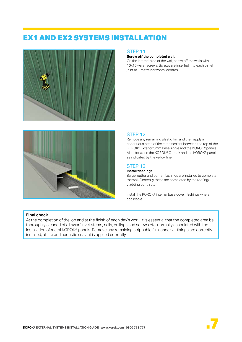



#### STEP 11

#### **Screw off the completed wall.**

On the internal side of the wall, screw off the walls with 10x16 wafer screws. Screws are inserted into each panel joint at 1 metre horizontal centres.

#### STEP 12

Remove any remaining plastic film and then apply a continuous bead of fire rated sealant between the top of the KOROK® Exterior 3mm Base Angle and the KOROK® panels. Also, between the KOROK® C-track and the KOROK® panels as indicated by the yellow line.

#### STEP 13

#### **Install flashings**

Barge, gutter and corner flashings are installed to complete the wall. Generally these are completed by the roofing/ cladding contractor.

Install the KOROK® internal base cover flashings where applicable.

#### **Final check.**

At the completion of the job and at the finish of each day's work, it is essential that the completed area be thoroughly cleaned of all swarf, rivet stems, nails, drillings and screws etc. normally associated with the installation of metal KOROK® panels. Remove any remaining strippable film, check all fixings are correctly installed, all fire and acoustic sealant is applied correctly.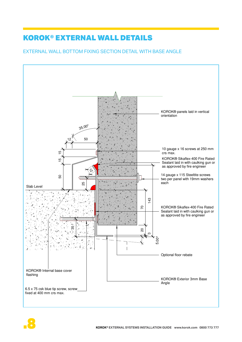#### EXTERNAL WALL BOTTOM FIXING SECTION DETAIL WITH BASE ANGLE



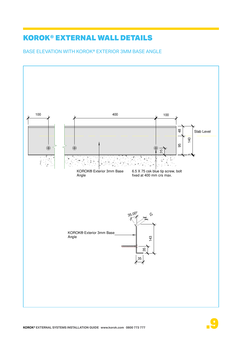## BASE ELEVATION WITH KOROK® EXTERIOR 3MM BASE ANGLE

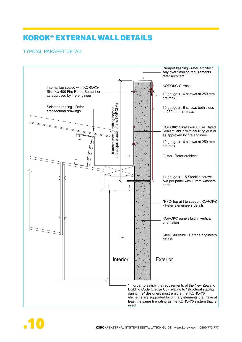## I YPICAL PARAPET DETAIL



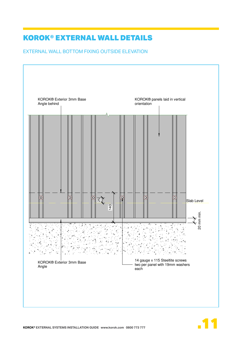EXTERNAL WALL BOTTOM FIXING OUTSIDE ELEVATION



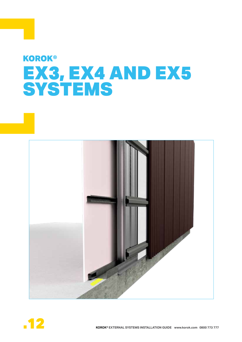# **KOROK®** EX3, EX4 AND EX5 **SYSTEMS**



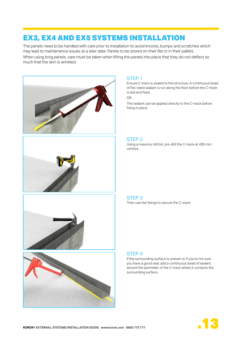# EX3, EX4 AND EX5 SYSTEMS INSTALLATION

The panels need to be handled with care prior to installation to avoid knocks, bumps and scratches which may lead to maintenance issues at a later date. Panels to be stored on their flat or in their pallets. When using long panels, care must be taken when lifting the panels into place that they do not deflect so much that the skin is wrinkled.



#### STEP 1

Ensure C-track is sealed to the structure. A continuous bead of fire-rated sealant is run along the floor before the C-track is laid and fixed.

OR

The sealant can be applied directly to the C-track before fixing in place.

#### STEP 2

Using a masonry drill bit, pre-drill the C-track at 400 mm centres.



# STEP 3

Then use the fixings to secure the C-track.



#### STEP 4

If the surrounding surface is uneven or if you're not sure you have a good seal, add a continuous bead of sealant around the perimeter of the C-track where it contacts the surrounding surface.

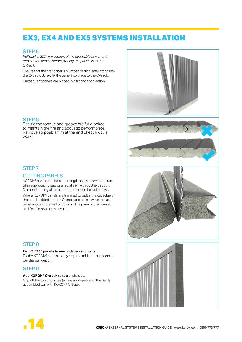# EX3, EX4 AND EX5 SYSTEMS INSTALLATION

#### STEP 5

*Pull back a 300 mm section of the strippable film on the ends of the panels before placing the panels in to the C-track.*

Ensure that the first panel is plumbed vertical after fitting into the C-track. Screw fix the panel into place to the C-track.

Subsequent panels are placed in a tilt and snap action.

#### STEP 6

Ensure the tongue and groove are fully locked to maintain the fire and acoustic performance. Remove strippable film at the end of each day's work.

#### STEP 7

#### CUTTING PANELS

KOROK® panels can be cut to length and width with the use of a reciprocating saw or a radial saw with dust extraction. Diamond cutting discs are recommended for radial saws.

Where KOROK® panels are trimmed to width, the cut edge of the panel is fitted into the C-track and so is always the last panel abutting the wall or column. The panel is then sealed and fixed in position as usual.

#### STEP 8

#### **Fix KOROK® panels to any midspan supports.**

Fix the KOROK® panels to any required midspan supports as per the wall design.

#### STEP 9

#### **Add KOROK® C-track to top and sides.**

Cap off the top and sides (where appropriate) of the newly assembled wall with KOROK® C-track.









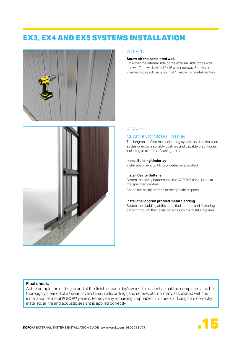# EX3, EX4 AND EX5 SYSTEMS INSTALLATION





#### STEP 10

#### **Screw off the completed wall.**

On either the internal side or the external side of the wall, screw off the walls with 10x16 wafer screws. Screws are inserted into each panel joint at 1 metre horizontal centres.

#### STEP 11 CLADDING INSTALLATION

The longrun profiled metal cladding system shall be installed as designed by a suitably qualified and capable practitioner, including all closures, flashings, etc.

#### **Install Building Underlay**

Install absorbent building underlay as specified.

#### **Install Cavity Battens**

Fasten the cavity battens into the KOROK® panel joints at the specified centres.

Space the cavity battens at the specified spans.

#### **Install the longrun profiled metal cladding**

Fasten the cladding at the specified centres and fastening pattern through the cavity battens into the KOROK® panel.

#### **Final check.**

At the completion of the job and at the finish of each day's work, it is essential that the completed area be thoroughly cleaned of all swarf, rivet stems, nails, drillings and screws etc. normally associated with the installation of metal KOROK® panels. Remove any remaining strippable film, check all fixings are correctly installed, all fire and acoustic sealant is applied correctly.

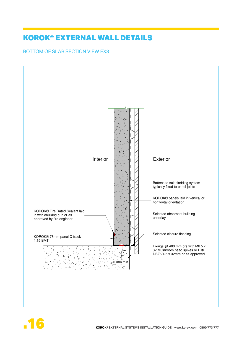BOTTOM OF SLAB SECTION VIEW EX3



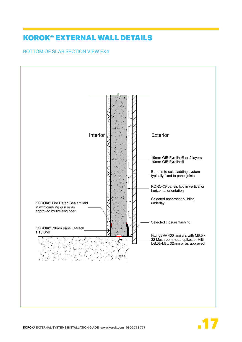BOTTOM OF SLAB SECTION VIEW EX4



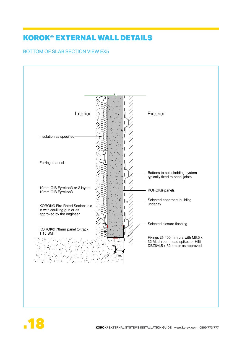#### BOTTOM OF SLAB SECTION VIEW EX5



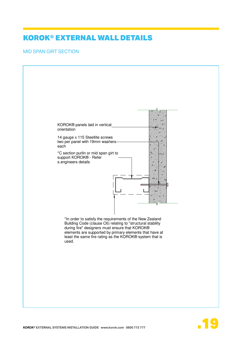#### MID SPAN GIRT SECTION



的,他们也不会有什么。""我们不会有什么?""我们不会有什么?""我们不会有什么?""我们不会有什么?""我们不会有什么?""我们不会有什么?""我们不会有什么

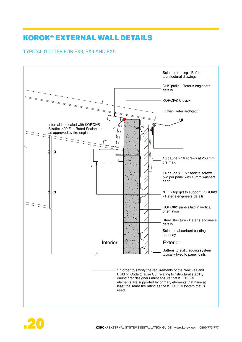## I YPICAL GUT TER FOR EX3, EX4 AND EX5



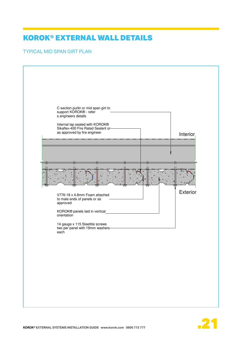## **TYPICAL MID SPAN GIRT PLAN**



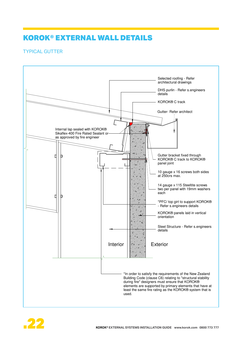## **TYPICAL GUTTER THE RESIDENCE OF A SERVICE OF A SERVICE OF A SERVICE OF A SERVICE OF A SERVICE OF A SERVICE OF A SERVICE OF A SERVICE OF A SERVICE OF A SERVICE OF A SERVICE OF A SERVICE OF A SERVICE OF A SERVICE OF A SERVI**



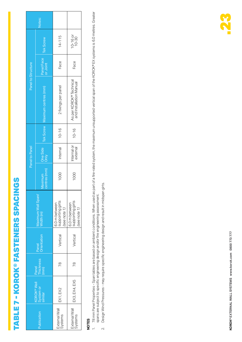# TABLE 7 - KOROK® FASTENERS SPACINGS TABLE 7 - KOROK® FASTENERS SPACINGS

|                                                | lotes:                         |                                                  |                                                    |
|------------------------------------------------|--------------------------------|--------------------------------------------------|----------------------------------------------------|
| Panel to Structure                             | <b>Tek Screw</b>               | $14 - 115$                                       | $10 - 16$ or<br>$10 - 30$                          |
|                                                | Panel Face<br>or Joint         | Face                                             | Face                                               |
|                                                | Tek Screw Maximum centres (mm) | 2 fixings per panel                              | As per KOROK® Technical<br>and Installation Manual |
| Panel to Panel                                 |                                | $10 - 16$                                        | $10 - 16$                                          |
|                                                | One Side<br>Only               | nternal                                          | nternal or<br>external                             |
|                                                | centres (mm)<br>Maximum        | 1000                                             | 1000                                               |
|                                                | Maximum Wall Span<br>Vidth (m) | 6.0 m between<br>supporting girts<br>see note 1) | 6.0 m between<br>supporting girts<br>(see note 1)  |
| Orientation<br>Panel                           |                                | Vertical                                         | Vertical                                           |
|                                                | Panel<br>Thickness<br>(mm)     | R<br>Z                                           | R<br>Z                                             |
| <b>(OROK® Wall</b><br>System or<br>similar     |                                | EX1, EX2                                         | EX3, EX4, EX5                                      |
| <b><u><i><u><b>Aublication</b></u></i></u></b> |                                | External Wall<br>Systems                         | External Wall<br>Systems                           |

# **NOTES**

- 78 mm Panel Properties Span tables are based on ambient conditions. When used as part of a fire-rated system, the maximum unsupported vertical span of the KOROK® EX systems is 6.0 metres. Greater<br>spans are subject to spe 1. 78 mm Panel Properties - Span tables are based on ambient conditions. When used as part of a fire-rated system, the maximum unsupported vertical span of the KOROK® EX systems is 6.0 metres. Greater spans are subject to specific engineering design and/or fire engineering assessment.  $\overline{a}$
- Design Wind Pressures may require specific engineering design and result in midspan girts. 2. Design Wind Pressures - may require specific engineering design and result in midspan girts.  $\overline{N}$